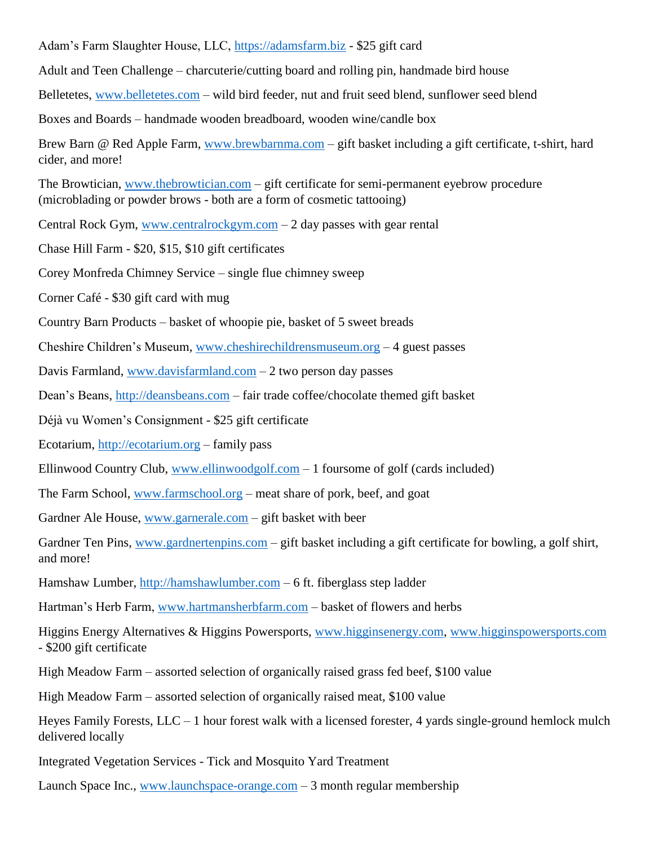Adam's Farm Slaughter House, LLC, [https://adamsfarm.biz](https://adamsfarm.biz/) - \$25 gift card

Adult and Teen Challenge – charcuterie/cutting board and rolling pin, handmade bird house

Belletetes, [www.belletetes.com](http://www.belletetes.com/) – wild bird feeder, nut and fruit seed blend, sunflower seed blend

Boxes and Boards – handmade wooden breadboard, wooden wine/candle box

Brew Barn @ Red Apple Farm, [www.brewbarnma.com](http://www.brewbarnma.com/) – gift basket including a gift certificate, t-shirt, hard cider, and more!

The Browtician, [www.thebrowtician.com](http://www.thebrowtician.com/) – gift certificate for semi-permanent eyebrow procedure (microblading or powder brows - both are a form of cosmetic tattooing)

Central Rock Gym, [www.centralrockgym.com](http://www.centralrockgym.com/)  $-2$  day passes with gear rental

Chase Hill Farm - \$20, \$15, \$10 gift certificates

Corey Monfreda Chimney Service – single flue chimney sweep

Corner Café - \$30 gift card with mug

Country Barn Products – basket of whoopie pie, basket of 5 sweet breads

Cheshire Children's Museum, [www.cheshirechildrensmuseum.org](http://www.cheshirechildrensmuseum.org/) – 4 guest passes

Davis Farmland, [www.davisfarmland.com](http://www.davisfarmland.com/) – 2 two person day passes

Dean's Beans, [http://deansbeans.com](http://deansbeans.com/) – fair trade coffee/chocolate themed gift basket

Déjà vu Women's Consignment - \$25 gift certificate

Ecotarium, [http://ecotarium.org](http://ecotarium.org/) – family pass

Ellinwood Country Club, [www.ellinwoodgolf.com](http://www.ellinwoodgolf.com/) – 1 foursome of golf (cards included)

The Farm School, [www.farmschool.org](http://www.farmschool.org/) – meat share of pork, beef, and goat

Gardner Ale House, [www.garnerale.com](http://www.garnerale.com/) – gift basket with beer

Gardner Ten Pins, [www.gardnertenpins.com](http://www.gardnertenpins.com/) – gift basket including a gift certificate for bowling, a golf shirt, and more!

Hamshaw Lumber, [http://hamshawlumber.com](http://hamshawlumber.com/) – 6 ft. fiberglass step ladder

Hartman's Herb Farm, [www.hartmansherbfarm.com](http://www.hartmansherbfarm.com/) – basket of flowers and herbs

Higgins Energy Alternatives & Higgins Powersports, [www.higginsenergy.com,](http://www.higginsenergy.com/) www.higginspowersports.com - \$200 gift certificate

High Meadow Farm – assorted selection of organically raised grass fed beef, \$100 value

High Meadow Farm – assorted selection of organically raised meat, \$100 value

Heyes Family Forests, LLC – 1 hour forest walk with a licensed forester, 4 yards single-ground hemlock mulch delivered locally

Integrated Vegetation Services - Tick and Mosquito Yard Treatment

Launch Space Inc., [www.launchspace-orange.com](http://www.launchspace-orange.com/) – 3 month regular membership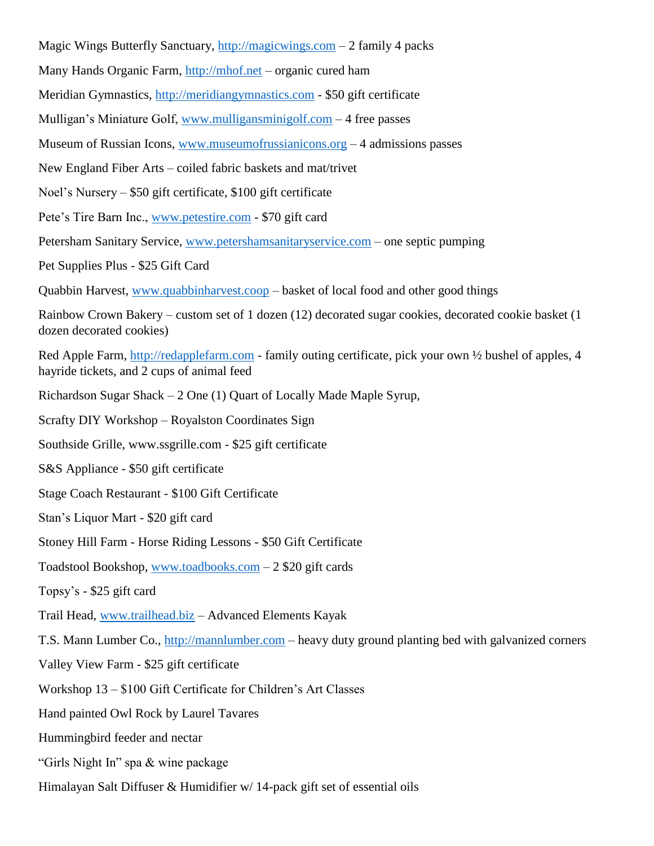- Magic Wings Butterfly Sanctuary, [http://magicwings.com](http://magicwings.com/) 2 family 4 packs
- Many Hands Organic Farm, [http://mhof.net](http://mhof.net/) organic cured ham
- Meridian Gymnastics, [http://meridiangymnastics.com](http://meridiangymnastics.com/) \$50 gift certificate
- Mulligan's Miniature Golf, [www.mulligansminigolf.com](http://www.mulligansminigolf.com/) 4 free passes
- Museum of Russian Icons, [www.museumofrussianicons.org](http://www.museumofrussianicons.org/) 4 admissions passes
- New England Fiber Arts coiled fabric baskets and mat/trivet
- Noel's Nursery \$50 gift certificate, \$100 gift certificate
- Pete's Tire Barn Inc., [www.petestire.com](http://www.petestire.com/) \$70 gift card
- Petersham Sanitary Service, [www.petershamsanitaryservice.com](http://www.petershamsanitaryservice.com/) one septic pumping
- Pet Supplies Plus \$25 Gift Card
- Quabbin Harvest, [www.quabbinharvest.coop](http://www.quabbinharvest.coop/) basket of local food and other good things
- Rainbow Crown Bakery custom set of 1 dozen (12) decorated sugar cookies, decorated cookie basket (1 dozen decorated cookies)
- Red Apple Farm, [http://redapplefarm.com](http://redapplefarm.com/) family outing certificate, pick your own ½ bushel of apples, 4 hayride tickets, and 2 cups of animal feed
- Richardson Sugar Shack 2 One (1) Quart of Locally Made Maple Syrup,
- Scrafty DIY Workshop Royalston Coordinates Sign
- Southside Grille, www.ssgrille.com \$25 gift certificate
- S&S Appliance \$50 gift certificate
- Stage Coach Restaurant \$100 Gift Certificate
- Stan's Liquor Mart \$20 gift card
- Stoney Hill Farm Horse Riding Lessons \$50 Gift Certificate
- Toadstool Bookshop, [www.toadbooks.com](http://www.toadbooks.com/) 2 \$20 gift cards
- Topsy's \$25 gift card
- Trail Head, [www.trailhead.biz](http://www.trailhead.biz/) Advanced Elements Kayak
- T.S. Mann Lumber Co., [http://mannlumber.com](http://mannlumber.com/) heavy duty ground planting bed with galvanized corners
- Valley View Farm \$25 gift certificate
- Workshop 13 \$100 Gift Certificate for Children's Art Classes
- Hand painted Owl Rock by Laurel Tavares
- Hummingbird feeder and nectar
- "Girls Night In" spa & wine package
- Himalayan Salt Diffuser & Humidifier w/ 14-pack gift set of essential oils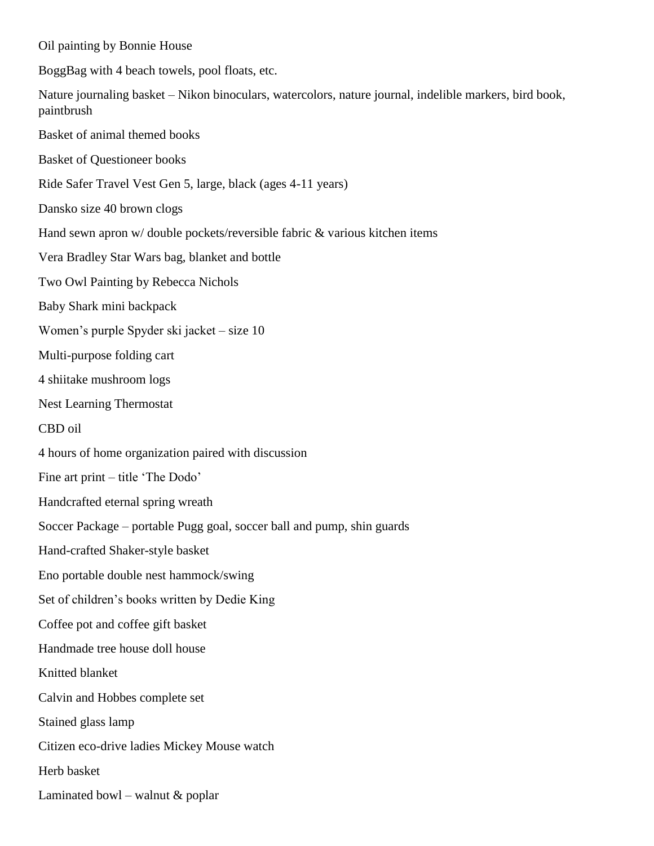Oil painting by Bonnie House BoggBag with 4 beach towels, pool floats, etc. Nature journaling basket – Nikon binoculars, watercolors, nature journal, indelible markers, bird book, paintbrush Basket of animal themed books Basket of Questioneer books Ride Safer Travel Vest Gen 5, large, black (ages 4-11 years) Dansko size 40 brown clogs Hand sewn apron w/ double pockets/reversible fabric & various kitchen items Vera Bradley Star Wars bag, blanket and bottle Two Owl Painting by Rebecca Nichols Baby Shark mini backpack Women's purple Spyder ski jacket – size 10 Multi-purpose folding cart 4 shiitake mushroom logs Nest Learning Thermostat CBD oil 4 hours of home organization paired with discussion Fine art print – title 'The Dodo' Handcrafted eternal spring wreath Soccer Package – portable Pugg goal, soccer ball and pump, shin guards Hand-crafted Shaker-style basket Eno portable double nest hammock/swing Set of children's books written by Dedie King Coffee pot and coffee gift basket Handmade tree house doll house Knitted blanket Calvin and Hobbes complete set Stained glass lamp Citizen eco-drive ladies Mickey Mouse watch Herb basket Laminated bowl – walnut & poplar